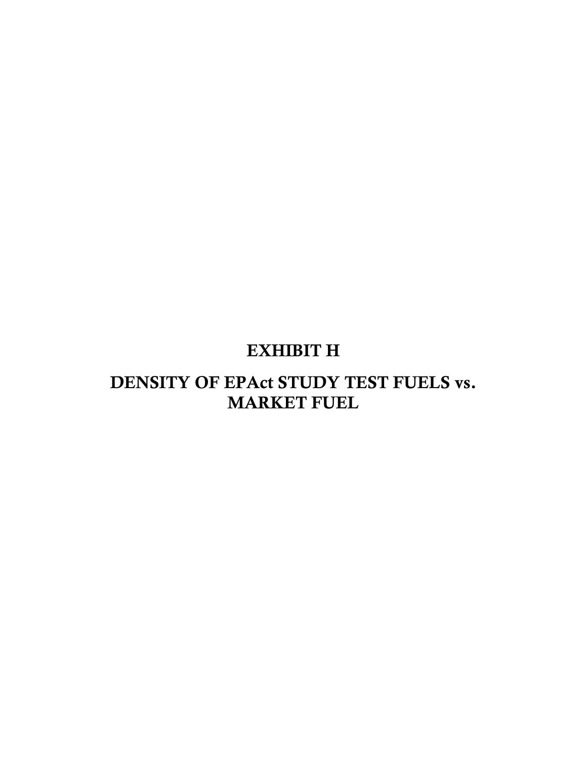# EXHIBIT H

## DENSITY OF EPAct STUDY TEST FUELS vs. MARKET FUEL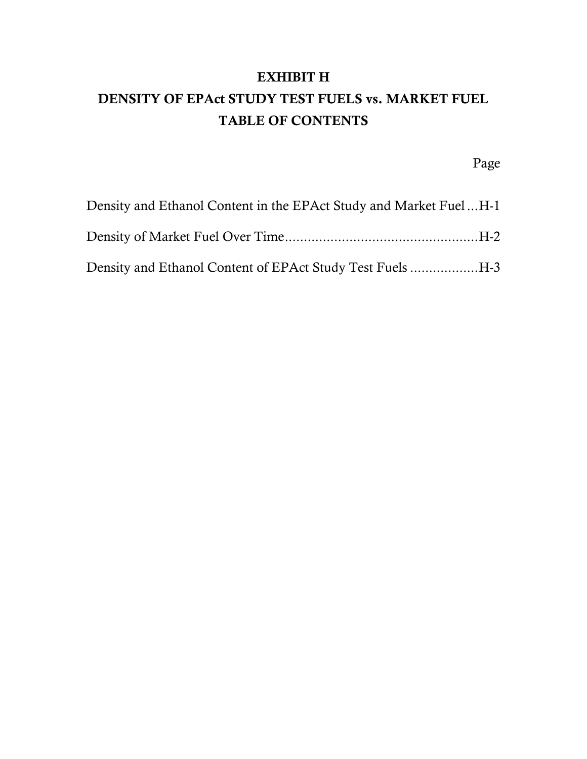#### EXHIBIT H

## DENSITY OF EPAct STUDY TEST FUELS vs. MARKET FUEL TABLE OF CONTENTS

Page

| Density and Ethanol Content in the EPAct Study and Market FuelH-1 |  |
|-------------------------------------------------------------------|--|
|                                                                   |  |
| Density and Ethanol Content of EPAct Study Test Fuels H-3         |  |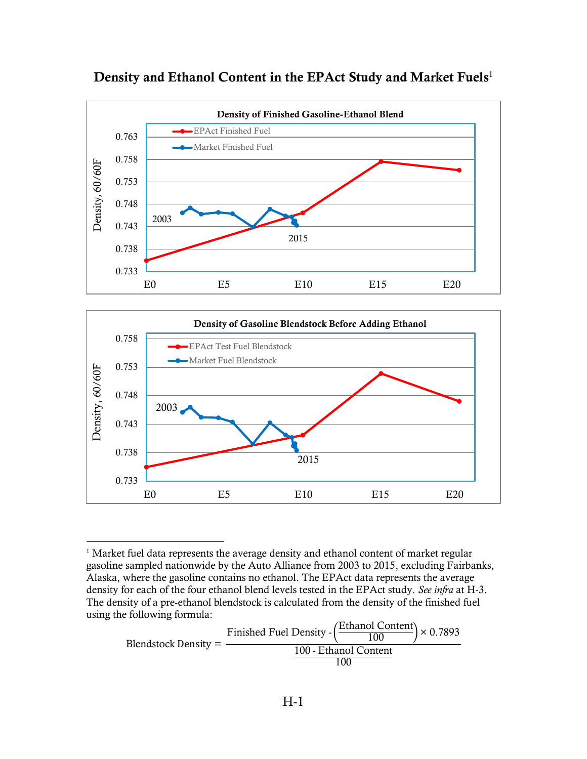<span id="page-2-0"></span>

#### <span id="page-2-1"></span>Density and Ethanol Content in the EPAct Study and Market Fuels<sup>1</sup>



<sup>&</sup>lt;sup>1</sup> Market fuel data represents the average density and ethanol content of market regular gasoline sampled nationwide by the Auto Alliance from 2003 to 2015, excluding Fairbanks, Alaska, where the gasoline contains no ethanol. The EPAct data represents the average density for each of the four ethanol blend levels tested in the EPAct study. *See infra* at H-3. The density of a pre-ethanol blendstock is calculated from the density of the finished fuel using the following formula:

 $\overline{a}$ 

Blendstock Density = Finished Fuel Density -Ethanol Content  $\frac{100}{100}$   $\times$  0.7893 100 - Ethanol Content 100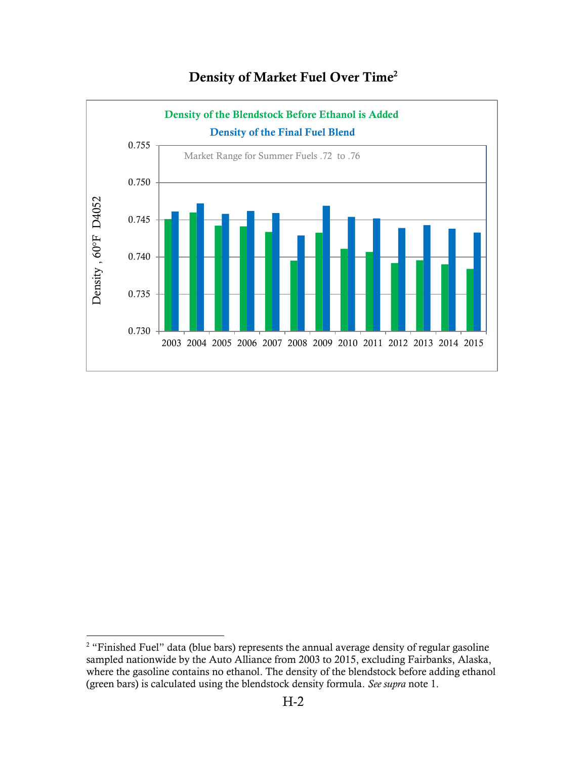<span id="page-3-0"></span>

### Density of Market Fuel Over Time<sup>2</sup>

 $\overline{a}$ 

<sup>&</sup>lt;sup>2</sup> "Finished Fuel" data (blue bars) represents the annual average density of regular gasoline sampled nationwide by the Auto Alliance from 2003 to 2015, excluding Fairbanks, Alaska, where the gasoline contains no ethanol. The density of the blendstock before adding ethanol (green bars) is calculated using the blendstock density formula. *See supra* note [1.](#page-2-1)